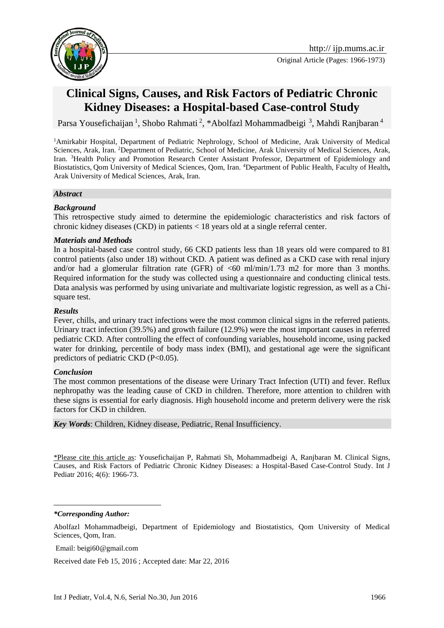

# **Clinical Signs, Causes, and Risk Factors of Pediatric Chronic Kidney Diseases: a Hospital-based Case-control Study**

Parsa Yousefichaijan<sup>1</sup>, Shobo Rahmati<sup>2</sup>, \*Abolfazl Mohammadbeigi<sup>3</sup>, Mahdi Ranjbaran<sup>4</sup>

<sup>1</sup>Amirkabir Hospital, Department of Pediatric Nephrology, School of Medicine, Arak University of Medical Sciences, Arak, Iran. <sup>2</sup>Department of Pediatric, School of Medicine, Arak University of Medical Sciences, Arak, Iran. <sup>3</sup>Health Policy and Promotion Research Center Assistant Professor, Department of Epidemiology and Biostatistics, Qom University of Medical Sciences, Qom, Iran. <sup>4</sup>Department of Public Health, Faculty of Health**,**  Arak University of Medical Sciences, Arak, Iran.

#### *Abstract*

### *Background*

This retrospective study aimed to determine the epidemiologic characteristics and risk factors of chronic kidney diseases (CKD) in patients < 18 years old at a single referral center.

#### *Materials and Methods*

In a hospital-based case control study, 66 CKD patients less than 18 years old were compared to 81 control patients (also under 18) without CKD. A patient was defined as a CKD case with renal injury and/or had a glomerular filtration rate (GFR) of  $<60$  ml/min/1.73 m2 for more than 3 months. Required information for the study was collected using a questionnaire and conducting clinical tests. Data analysis was performed by using univariate and multivariate logistic regression, as well as a Chisquare test.

#### *Results*

Fever, chills, and urinary tract infections were the most common clinical signs in the referred patients. Urinary tract infection (39.5%) and growth failure (12.9%) were the most important causes in referred pediatric CKD. After controlling the effect of confounding variables, household income, using packed water for drinking, percentile of body mass index (BMI), and gestational age were the significant predictors of pediatric CKD (P<0.05).

#### *Conclusion*

The most common presentations of the disease were Urinary Tract Infection (UTI) and fever. Reflux nephropathy was the leading cause of CKD in children. Therefore, more attention to children with these signs is essential for early diagnosis. High household income and preterm delivery were the risk factors for CKD in children.

*Key Words*: Children, Kidney disease, Pediatric, Renal Insufficiency.

\*Please cite this article as: Yousefichaijan P, Rahmati Sh, Mohammadbeigi A, Ranjbaran M. Clinical Signs, Causes, and Risk Factors of Pediatric Chronic Kidney Diseases: a Hospital-Based Case-Control Study. Int J Pediatr 2016; 4(6): 1966-73.

*\*Corresponding Author:*

1

Abolfazl Mohammadbeigi, Department of Epidemiology and Biostatistics, Qom University of Medical Sciences, Qom, Iran.

Email[: beigi60@gmail.com](mailto:beigi60@gmail.com)

Received date Feb 15, 2016 ; Accepted date: Mar 22, 2016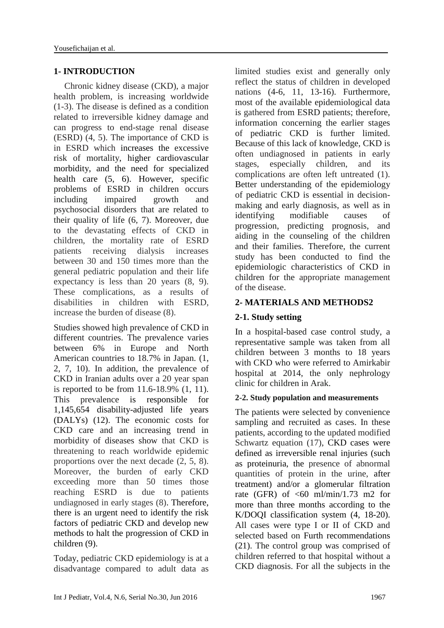# **1- INTRODUCTION**

Chronic kidney disease (CKD), a major health problem, is increasing worldwide [\(1-3\)](#page-6-0). The disease is defined as a condition related to irreversible kidney damage and can progress to end-stage renal disease (ESRD) [\(4,](#page-6-1) [5\)](#page-6-2). The importance of CKD is in ESRD which increases the excessive risk of mortality, higher cardiovascular morbidity, and the need for specialized health care [\(5,](#page-6-2) [6\)](#page-6-3). However, specific problems of ESRD in children occurs including impaired growth and psychosocial disorders that are related to their quality of life [\(6,](#page-6-3) [7\)](#page-6-4). Moreover, due to the devastating effects of CKD in children, the mortality rate of ESRD patients receiving dialysis increases between 30 and 150 times more than the general pediatric population and their life expectancy is less than 20 years [\(8,](#page-6-5) [9\)](#page-6-6). These complications, as a results of disabilities in children with ESRD, increase the burden of disease [\(8\)](#page-6-5).

Studies showed high prevalence of CKD in different countries. The prevalence varies between 6% in Europe and North American countries to 18.7% in Japan. [\(1,](#page-6-0) [2,](#page-6-7) [7,](#page-6-4) [10\)](#page-6-8). In addition, the prevalence of CKD in Iranian adults over a 20 year span is reported to be from 11.6-18.9% [\(1,](#page-6-0) [11\)](#page-6-9). This prevalence is responsible for 1,145,654 disability-adjusted life years (DALYs) [\(12\)](#page-6-10). The economic costs for CKD care and an increasing trend in morbidity of diseases show that CKD is threatening to reach worldwide epidemic proportions over the next decade [\(2,](#page-6-7) [5,](#page-6-2) [8\)](#page-6-5). Moreover, the burden of early CKD exceeding more than 50 times those reaching ESRD is due to patients undiagnosed in early stages [\(8\)](#page-6-5). Therefore, there is an urgent need to identify the risk factors of pediatric CKD and develop new methods to halt the progression of CKD in children [\(9\)](#page-6-6).

Today, pediatric CKD epidemiology is at a disadvantage compared to adult data as limited studies exist and generally only reflect the status of children in developed nations [\(4-6,](#page-6-1) [11,](#page-6-9) [13-16\)](#page-6-11). Furthermore, most of the available epidemiological data is gathered from ESRD patients; therefore, information concerning the earlier stages of pediatric CKD is further limited. Because of this lack of knowledge, CKD is often undiagnosed in patients in early stages, especially children, and its complications are often left untreated [\(1\)](#page-6-0). Better understanding of the epidemiology of pediatric CKD is essential in decisionmaking and early diagnosis, as well as in identifying modifiable causes of progression, predicting prognosis, and aiding in the counseling of the children and their families. Therefore, the current study has been conducted to find the epidemiologic characteristics of CKD in children for the appropriate management of the disease.

# **2- MATERIALS AND METHODS2**

# **2-1. Study setting**

In a hospital-based case control study, a representative sample was taken from all children between 3 months to 18 years with CKD who were referred to Amirkabir hospital at 2014, the only nephrology clinic for children in Arak.

# **2-2. Study population and measurements**

The patients were selected by convenience sampling and recruited as cases. In these patients, according to the updated modified Schwartz equation [\(17\)](#page-7-0), CKD cases were defined as irreversible renal injuries (such as proteinuria, the presence of abnormal quantities of protein in the urine, after treatment) and/or a glomerular filtration rate (GFR) of  $\leq 60$  ml/min/1.73 m2 for more than three months according to the K/DOQI classification system [\(4,](#page-6-1) [18-20\)](#page-7-1). All cases were type I or II of CKD and selected based on Furth recommendations [\(21\)](#page-7-2). The control group was comprised of children referred to that hospital without a CKD diagnosis. For all the subjects in the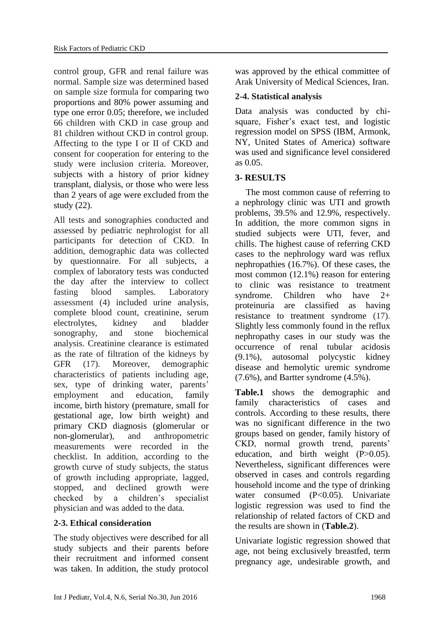control group, GFR and renal failure was normal. Sample size was determined based on sample size formula for comparing two proportions and 80% power assuming and type one error 0.05; therefore, we included 66 children with CKD in case group and 81 children without CKD in control group. Affecting to the type I or II of CKD and consent for cooperation for entering to the study were inclusion criteria. Moreover, subjects with a history of prior kidney transplant, dialysis, or those who were less than 2 years of age were excluded from the study [\(22\)](#page-7-3).

All tests and sonographies conducted and assessed by pediatric nephrologist for all participants for detection of CKD. In addition, demographic data was collected by questionnaire. For all subjects, a complex of laboratory tests was conducted the day after the interview to collect fasting blood samples. Laboratory assessment [\(4\)](#page-6-1) included urine analysis, complete blood count, creatinine, serum electrolytes, kidney and bladder sonography, and stone biochemical analysis. Creatinine clearance is estimated as the rate of filtration of the kidneys by GFR [\(17\)](#page-7-0). Moreover, demographic characteristics of patients including age, sex, type of drinking water, parents' employment and education, family income, birth history (premature, small for gestational age, low birth weight) and primary CKD diagnosis (glomerular or non-glomerular), and anthropometric measurements were recorded in the checklist. In addition, according to the growth curve of study subjects, the status of growth including appropriate, lagged, stopped, and declined growth were checked by a children's specialist physician and was added to the data.

# **2-3. Ethical consideration**

The study objectives were described for all study subjects and their parents before their recruitment and informed consent was taken. In addition, the study protocol was approved by the ethical committee of Arak University of Medical Sciences, Iran.

# **2-4. Statistical analysis**

Data analysis was conducted by chisquare, Fisher's exact test, and logistic regression model on SPSS (IBM, Armonk, NY, United States of America) software was used and significance level considered as 0.05.

# **3- RESULTS**

The most common cause of referring to a nephrology clinic was UTI and growth problems, 39.5% and 12.9%, respectively. In addition, the more common signs in studied subjects were UTI, fever, and chills. The highest cause of referring CKD cases to the nephrology ward was reflux nephropathies (16.7%). Of these cases, the most common (12.1%) reason for entering to clinic was resistance to treatment syndrome. Children who have 2+ proteinuria are classified as having resistance to treatment syndrome [\(17\)](#page-7-0). Slightly less commonly found in the reflux nephropathy cases in our study was the occurrence of renal tubular acidosis (9.1%), autosomal polycystic kidney disease and hemolytic uremic syndrome (7.6%), and Bartter syndrome (4.5%).

**Table.1** shows the demographic and family characteristics of cases and controls. According to these results, there was no significant difference in the two groups based on gender, family history of CKD, normal growth trend, parents' education, and birth weight  $(P>0.05)$ . Nevertheless, significant differences were observed in cases and controls regarding household income and the type of drinking water consumed (P<0.05). Univariate logistic regression was used to find the relationship of related factors of CKD and the results are shown in (**Table.2**).

Univariate logistic regression showed that age, not being exclusively breastfed, term pregnancy age, undesirable growth, and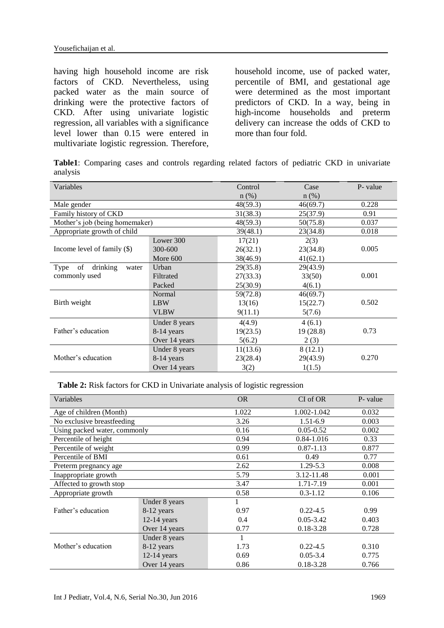having high household income are risk factors of CKD. Nevertheless, using packed water as the main source of drinking were the protective factors of CKD. After using univariate logistic regression, all variables with a significance level lower than 0.15 were entered in multivariate logistic regression. Therefore, household income, use of packed water, percentile of BMI, and gestational age were determined as the most important predictors of CKD. In a way, being in high-income households and preterm delivery can increase the odds of CKD to more than four fold.

**Table1**: Comparing cases and controls regarding related factors of pediatric CKD in univariate analysis

| Variables                       |               | Control  | Case     | P- value |
|---------------------------------|---------------|----------|----------|----------|
|                                 |               | $n$ (%)  | $n$ (%)  |          |
| Male gender                     |               | 48(59.3) | 46(69.7) | 0.228    |
| Family history of CKD           |               | 31(38.3) | 25(37.9) | 0.91     |
| Mother's job (being homemaker)  |               | 48(59.3) | 50(75.8) | 0.037    |
| Appropriate growth of child     |               | 39(48.1) | 23(34.8) | 0.018    |
|                                 | Lower 300     | 17(21)   | 2(3)     |          |
| Income level of family $(\$)$   | 300-600       | 26(32.1) | 23(34.8) | 0.005    |
|                                 | More 600      | 38(46.9) | 41(62.1) |          |
| of<br>drinking<br>Type<br>water | Urban         | 29(35.8) | 29(43.9) |          |
| commonly used                   | Filtrated     | 27(33.3) | 33(50)   | 0.001    |
|                                 | Packed        | 25(30.9) | 4(6.1)   |          |
|                                 | Normal        | 59(72.8) | 46(69.7) |          |
| Birth weight                    | <b>LBW</b>    | 13(16)   | 15(22.7) | 0.502    |
|                                 | <b>VLBW</b>   | 9(11.1)  | 5(7.6)   |          |
|                                 | Under 8 years | 4(4.9)   | 4(6.1)   |          |
| Father's education              | 8-14 years    | 19(23.5) | 19(28.8) | 0.73     |
|                                 | Over 14 years | 5(6.2)   | 2(3)     |          |
|                                 | Under 8 years | 11(13.6) | 8(12.1)  |          |
| Mother's education              | 8-14 years    | 23(28.4) | 29(43.9) | 0.270    |
|                                 | Over 14 years | 3(2)     | 1(1.5)   |          |

**Table 2:** Risk factors for CKD in Univariate analysis of logistic regression

| Variables                    |               | <b>OR</b> | CI of OR      | P- value |
|------------------------------|---------------|-----------|---------------|----------|
| Age of children (Month)      |               | 1.022     | 1.002-1.042   | 0.032    |
| No exclusive breastfeeding   |               | 3.26      | $1.51 - 6.9$  | 0.003    |
| Using packed water, commonly |               | 0.16      | $0.05 - 0.52$ | 0.002    |
| Percentile of height         |               | 0.94      | 0.84-1.016    | 0.33     |
| Percentile of weight         |               | 0.99      | $0.87 - 1.13$ | 0.877    |
| Percentile of BMI            |               | 0.61      | 0.49          | 0.77     |
| Preterm pregnancy age        |               | 2.62      | 1.29-5.3      | 0.008    |
| Inappropriate growth         |               | 5.79      | 3.12-11.48    | 0.001    |
| Affected to growth stop      |               | 3.47      | 1.71-7.19     | 0.001    |
| Appropriate growth           |               | 0.58      | $0.3 - 1.12$  | 0.106    |
|                              | Under 8 years |           |               |          |
| Father's education           | 8-12 years    | 0.97      | $0.22 - 4.5$  | 0.99     |
|                              | $12-14$ years | 0.4       | $0.05 - 3.42$ | 0.403    |
|                              | Over 14 years | 0.77      | $0.18 - 3.28$ | 0.728    |
|                              | Under 8 years |           |               |          |
| Mother's education           | 8-12 years    | 1.73      | $0.22 - 4.5$  | 0.310    |
|                              | $12-14$ years | 0.69      | $0.05 - 3.4$  | 0.775    |
|                              | Over 14 years | 0.86      | $0.18 - 3.28$ | 0.766    |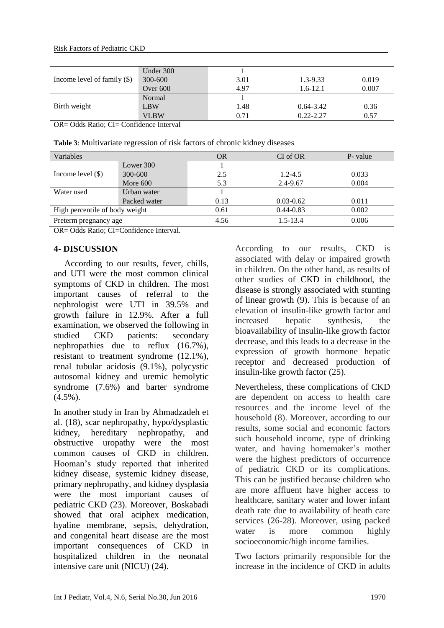#### Risk Factors of Pediatric CKD

| Income level of family $(\$)$ | Under 300   |      |               |       |
|-------------------------------|-------------|------|---------------|-------|
|                               | 300-600     | 3.01 | $1.3 - 9.33$  | 0.019 |
|                               | Over 600    | 4.97 | $1.6 - 12.1$  | 0.007 |
|                               | Normal      |      |               |       |
| Birth weight                  | <b>LBW</b>  | 1.48 | $0.64 - 3.42$ | 0.36  |
|                               | <b>VLBW</b> | 0.71 | $0.22 - 2.27$ | 0.57  |

OR= Odds Ratio; CI= Confidence Interval

| Table 3: Multivariate regression of risk factors of chronic kidney diseases |  |
|-----------------------------------------------------------------------------|--|
|-----------------------------------------------------------------------------|--|

| Variables                      |              | OR   | CI of OR      | P- value |
|--------------------------------|--------------|------|---------------|----------|
|                                | Lower 300    |      |               |          |
| Income level $(\$)$            | 300-600      | 2.5  | $1.2 - 4.5$   | 0.033    |
|                                | More $600$   | 5.3  | 2.4-9.67      | 0.004    |
| Water used                     | Urban water  |      |               |          |
|                                | Packed water | 0.13 | $0.03 - 0.62$ | 0.011    |
| High percentile of body weight |              | 0.61 | $0.44 - 0.83$ | 0.002    |
| Preterm pregnancy age          |              | 4.56 | $1.5 - 13.4$  | 0.006    |

OR= Odds Ratio; CI=Confidence Interval.

# **4- DISCUSSION**

According to our results, fever, chills, and UTI were the most common clinical symptoms of CKD in children. The most important causes of referral to the nephrologist were UTI in 39.5% and growth failure in 12.9%. After a full examination, we observed the following in studied CKD patients: secondary nephropathies due to reflux (16.7%), resistant to treatment syndrome (12.1%), renal tubular acidosis (9.1%), polycystic autosomal kidney and uremic hemolytic syndrome (7.6%) and barter syndrome  $(4.5\%)$ .

In another study in Iran by Ahmadzadeh et al. [\(18\)](#page-7-1), scar nephropathy, hypo/dysplastic kidney, hereditary nephropathy, and obstructive uropathy were the most common causes of CKD in children. Hooman's study reported that inherited kidney disease, systemic kidney disease, primary nephropathy, and kidney dysplasia were the most important causes of pediatric CKD [\(23\)](#page-7-4). Moreover, Boskabadi showed that oral aciphex medication, hyaline membrane, sepsis, dehydration, and congenital heart disease are the most important consequences of CKD in hospitalized children in the neonatal intensive care unit (NICU) [\(24\)](#page-7-5).

According to our results, CKD is associated with delay or impaired growth in children. On the other hand, as results of other studies of CKD in childhood, the disease is strongly associated with stunting of linear growth [\(9\)](#page-6-6). This is because of an elevation of insulin-like growth factor and increased hepatic synthesis, the bioavailability of insulin-like growth factor decrease, and this leads to a decrease in the expression of growth hormone hepatic receptor and decreased production of insulin-like growth factor [\(25\)](#page-7-6).

Nevertheless, these complications of CKD are dependent on access to health care resources and the income level of the household [\(8\)](#page-6-5). Moreover, according to our results, some social and economic factors such household income, type of drinking water, and having homemaker's mother were the highest predictors of occurrence of pediatric CKD or its complications. This can be justified because children who are more affluent have higher access to healthcare, sanitary water and lower infant death rate due to availability of heath care services [\(26-28\)](#page-7-7). Moreover, using packed water is more common highly socioeconomic/high income families.

Two factors primarily responsible for the increase in the incidence of CKD in adults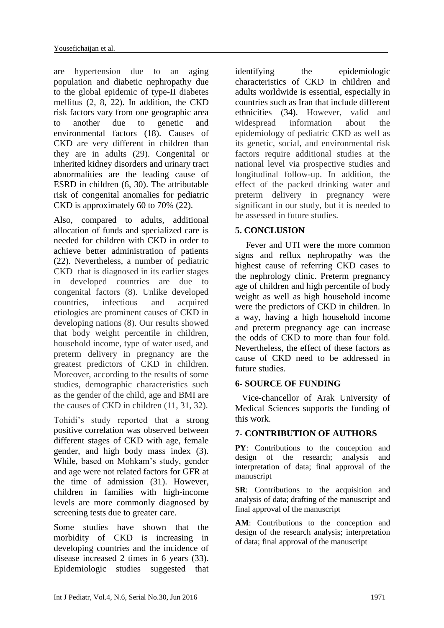are hypertension due to an aging population and diabetic nephropathy due to the global epidemic of type-II diabetes mellitus [\(2,](#page-6-7) [8,](#page-6-5) [22\)](#page-7-3). In addition, the CKD risk factors vary from one geographic area to another due to genetic and environmental factors [\(18\)](#page-7-1). Causes of CKD are very different in children than they are in adults [\(29\)](#page-7-8). Congenital or inherited kidney disorders and urinary tract abnormalities are the leading cause of ESRD in children [\(6,](#page-6-3) [30\)](#page-7-9). The attributable risk of congenital anomalies for pediatric CKD is approximately 60 to 70% [\(22\)](#page-7-3).

Also, compared to adults, additional allocation of funds and specialized care is needed for children with CKD in order to achieve better administration of patients [\(22\)](#page-7-3). Nevertheless, a number of pediatric CKD that is diagnosed in its earlier stages in developed countries are due to congenital factors [\(8\)](#page-6-5). Unlike developed countries, infectious and acquired etiologies are prominent causes of CKD in developing nations [\(8\)](#page-6-5). Our results showed that body weight percentile in children, household income, type of water used, and preterm delivery in pregnancy are the greatest predictors of CKD in children. Moreover, according to the results of some studies, demographic characteristics such as the gender of the child, age and BMI are the causes of CKD in children [\(11,](#page-6-9) [31,](#page-7-10) [32\)](#page-7-11).

Tohidi's study reported that a strong positive correlation was observed between different stages of CKD with age, female gender, and high body mass index [\(3\)](#page-6-12). While, based on Mohkam's study, gender and age were not related factors for GFR at the time of admission [\(31\)](#page-7-10). However, children in families with high-income levels are more commonly diagnosed by screening tests due to greater care.

Some studies have shown that the morbidity of CKD is increasing in developing countries and the incidence of disease increased 2 times in 6 years [\(33\)](#page-7-12). Epidemiologic studies suggested that identifying the epidemiologic characteristics of CKD in children and adults worldwide is essential, especially in countries such as Iran that include different ethnicities [\(34\)](#page-7-13). However, valid and widespread information about the epidemiology of pediatric CKD as well as its genetic, social, and environmental risk factors require additional studies at the national level via prospective studies and longitudinal follow-up. In addition, the effect of the packed drinking water and preterm delivery in pregnancy were significant in our study, but it is needed to be assessed in future studies.

# **5. CONCLUSION**

Fever and UTI were the more common signs and reflux nephropathy was the highest cause of referring CKD cases to the nephrology clinic. Preterm pregnancy age of children and high percentile of body weight as well as high household income were the predictors of CKD in children. In a way, having a high household income and preterm pregnancy age can increase the odds of CKD to more than four fold. Nevertheless, the effect of these factors as cause of CKD need to be addressed in future studies.

# **6- SOURCE OF FUNDING**

Vice-chancellor of Arak University of Medical Sciences supports the funding of this work.

# **7- CONTRIBUTION OF AUTHORS**

**PY**: Contributions to the conception and design of the research; analysis and interpretation of data; final approval of the manuscript

**SR**: Contributions to the acquisition and analysis of data; drafting of the manuscript and final approval of the manuscript

**AM**: Contributions to the conception and design of the research analysis; interpretation of data; final approval of the manuscript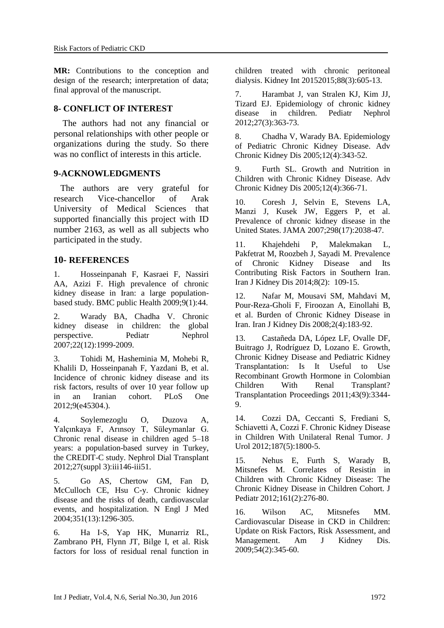**MR:** Contributions to the conception and design of the research; interpretation of data; final approval of the manuscript.

### **8- CONFLICT OF INTEREST**

 The authors had not any financial or personal relationships with other people or organizations during the study. So there was no conflict of interests in this article.

### **9-ACKNOWLEDGMENTS**

 The authors are very grateful for research Vice-chancellor of Arak University of Medical Sciences that supported financially this project with ID number 2163, as well as all subjects who participated in the study.

### **10- REFERENCES**

<span id="page-6-0"></span>1. Hosseinpanah F, Kasraei F, Nassiri AA, Azizi F. High prevalence of chronic kidney disease in Iran: a large populationbased study. BMC public Health 2009;9(1):44.

<span id="page-6-7"></span>2. Warady BA, Chadha V. Chronic kidney disease in children: the global perspective. Pediatr Nephrol 2007;22(12):1999-2009.

<span id="page-6-12"></span>3. Tohidi M, Hasheminia M, Mohebi R, Khalili D, Hosseinpanah F, Yazdani B, et al. Incidence of chronic kidney disease and its risk factors, results of over 10 year follow up in an Iranian cohort. PLoS One 2012;9(e45304.).

<span id="page-6-1"></span>4. Soylemezoglu O, Duzova A, Yalçınkaya F, Arınsoy T, Süleymanlar G. Chronic renal disease in children aged 5–18 years: a population-based survey in Turkey, the CREDIT-C study. Nephrol Dial Transplant 2012;27(suppl 3):iii146-iii51.

<span id="page-6-2"></span>5. Go AS, Chertow GM, Fan D, McCulloch CE, Hsu C-y. Chronic kidney disease and the risks of death, cardiovascular events, and hospitalization. N Engl J Med 2004;351(13):1296-305.

<span id="page-6-3"></span>6. Ha I-S, Yap HK, Munarriz RL, Zambrano PH, Flynn JT, Bilge I, et al. Risk factors for loss of residual renal function in <span id="page-6-4"></span>children treated with chronic peritoneal dialysis. Kidney Int 20152015;88(3):605-13.

7. Harambat J, van Stralen KJ, Kim JJ, Tizard EJ. Epidemiology of chronic kidney disease in children. Pediatr Nephrol 2012;27(3):363-73.

<span id="page-6-5"></span>8. Chadha V, Warady BA. Epidemiology of Pediatric Chronic Kidney Disease. Adv Chronic Kidney Dis 2005;12(4):343-52.

<span id="page-6-6"></span>9. Furth SL. Growth and Nutrition in Children with Chronic Kidney Disease. Adv Chronic Kidney Dis 2005;12(4):366-71.

<span id="page-6-8"></span>10. Coresh J, Selvin E, Stevens LA, Manzi J, Kusek JW, Eggers P, et al. Prevalence of chronic kidney disease in the United States. JAMA 2007;298(17):2038-47.

<span id="page-6-9"></span>11. Khajehdehi P, Malekmakan L, Pakfetrat M, Roozbeh J, Sayadi M. Prevalence of Chronic Kidney Disease and Its Contributing Risk Factors in Southern Iran. Iran J Kidney Dis 2014;8(2): 109-15.

<span id="page-6-10"></span>12. Nafar M, Mousavi SM, Mahdavi M, Pour-Reza-Gholi F, Firoozan A, Einollahi B, et al. Burden of Chronic Kidney Disease in Iran. Iran J Kidney Dis 2008;2(4):183-92.

<span id="page-6-11"></span>13. Castañeda DA, López LF, Ovalle DF, Buitrago J, Rodríguez D, Lozano E. Growth, Chronic Kidney Disease and Pediatric Kidney Transplantation: Is It Useful to Use Recombinant Growth Hormone in Colombian Children With Renal Transplant? Transplantation Proceedings 2011;43(9):3344- 9.

14. Cozzi DA, Ceccanti S, Frediani S, Schiavetti A, Cozzi F. Chronic Kidney Disease in Children With Unilateral Renal Tumor. J Urol 2012;187(5):1800-5.

15. Nehus E, Furth S, Warady B, Mitsnefes M. Correlates of Resistin in Children with Chronic Kidney Disease: The Chronic Kidney Disease in Children Cohort. J Pediatr 2012;161(2):276-80.

16. Wilson AC, Mitsnefes MM. Cardiovascular Disease in CKD in Children: Update on Risk Factors, Risk Assessment, and Management. Am J Kidney Dis. 2009;54(2):345-60.